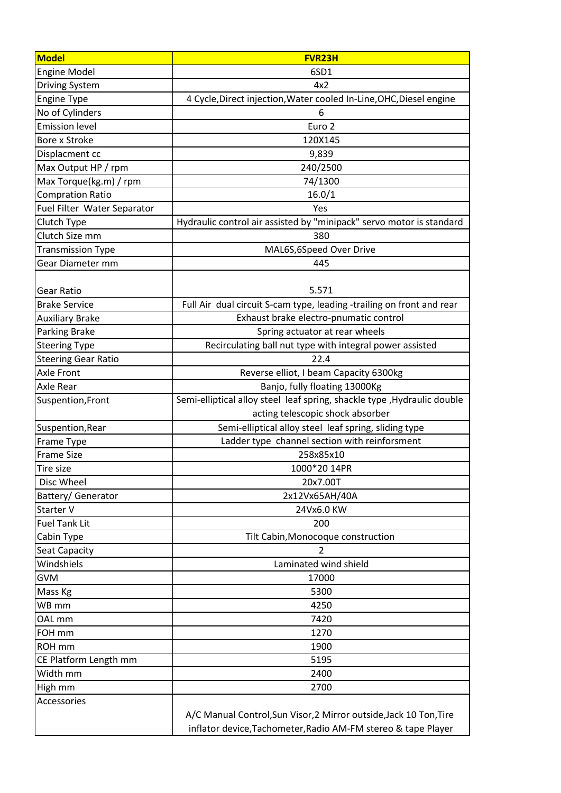| <b>Model</b>                | <b>FVR23H</b>                                                            |
|-----------------------------|--------------------------------------------------------------------------|
| <b>Engine Model</b>         | 6SD1                                                                     |
| <b>Driving System</b>       | 4x2                                                                      |
| <b>Engine Type</b>          | 4 Cycle, Direct injection, Water cooled In-Line, OHC, Diesel engine      |
| No of Cylinders             | 6                                                                        |
| <b>Emission level</b>       | Euro <sub>2</sub>                                                        |
| Bore x Stroke               | 120X145                                                                  |
| Displacment cc              | 9,839                                                                    |
| Max Output HP / rpm         | 240/2500                                                                 |
| Max Torque(kg.m) / rpm      | 74/1300                                                                  |
| <b>Compration Ratio</b>     | 16.0/1                                                                   |
| Fuel Filter Water Separator | Yes                                                                      |
| Clutch Type                 | Hydraulic control air assisted by "minipack" servo motor is standard     |
| Clutch Size mm              | 380                                                                      |
| <b>Transmission Type</b>    | MAL6S,6Speed Over Drive                                                  |
| Gear Diameter mm            | 445                                                                      |
|                             |                                                                          |
| <b>Gear Ratio</b>           | 5.571                                                                    |
| <b>Brake Service</b>        | Full Air dual circuit S-cam type, leading -trailing on front and rear    |
| <b>Auxiliary Brake</b>      | Exhaust brake electro-pnumatic control                                   |
| <b>Parking Brake</b>        | Spring actuator at rear wheels                                           |
| <b>Steering Type</b>        | Recirculating ball nut type with integral power assisted                 |
| <b>Steering Gear Ratio</b>  | 22.4                                                                     |
| Axle Front                  | Reverse elliot, I beam Capacity 6300kg                                   |
| Axle Rear                   | Banjo, fully floating 13000Kg                                            |
| Suspention, Front           | Semi-elliptical alloy steel leaf spring, shackle type , Hydraulic double |
|                             | acting telescopic shock absorber                                         |
| Suspention, Rear            | Semi-elliptical alloy steel leaf spring, sliding type                    |
| Frame Type                  | Ladder type channel section with reinforsment                            |
| <b>Frame Size</b>           | 258x85x10                                                                |
| Tire size                   | 1000*20 14PR                                                             |
| Disc Wheel                  | 20x7.00T                                                                 |
| Battery/ Generator          | 2x12Vx65AH/40A                                                           |
| Starter V                   | 24Vx6.0 KW                                                               |
| <b>Fuel Tank Lit</b>        | 200                                                                      |
| Cabin Type                  | Tilt Cabin, Monocoque construction                                       |
| Seat Capacity               | $\overline{2}$                                                           |
| Windshiels                  | Laminated wind shield                                                    |
| <b>GVM</b>                  | 17000                                                                    |
| Mass Kg                     | 5300                                                                     |
| WB mm                       | 4250                                                                     |
| OAL mm                      | 7420                                                                     |
| FOH mm                      | 1270                                                                     |
| ROH mm                      | 1900                                                                     |
| CE Platform Length mm       | 5195                                                                     |
| Width mm                    | 2400                                                                     |
| High mm                     | 2700                                                                     |
| Accessories                 |                                                                          |
|                             | A/C Manual Control, Sun Visor, 2 Mirror outside, Jack 10 Ton, Tire       |
|                             | inflator device, Tachometer, Radio AM-FM stereo & tape Player            |
|                             |                                                                          |